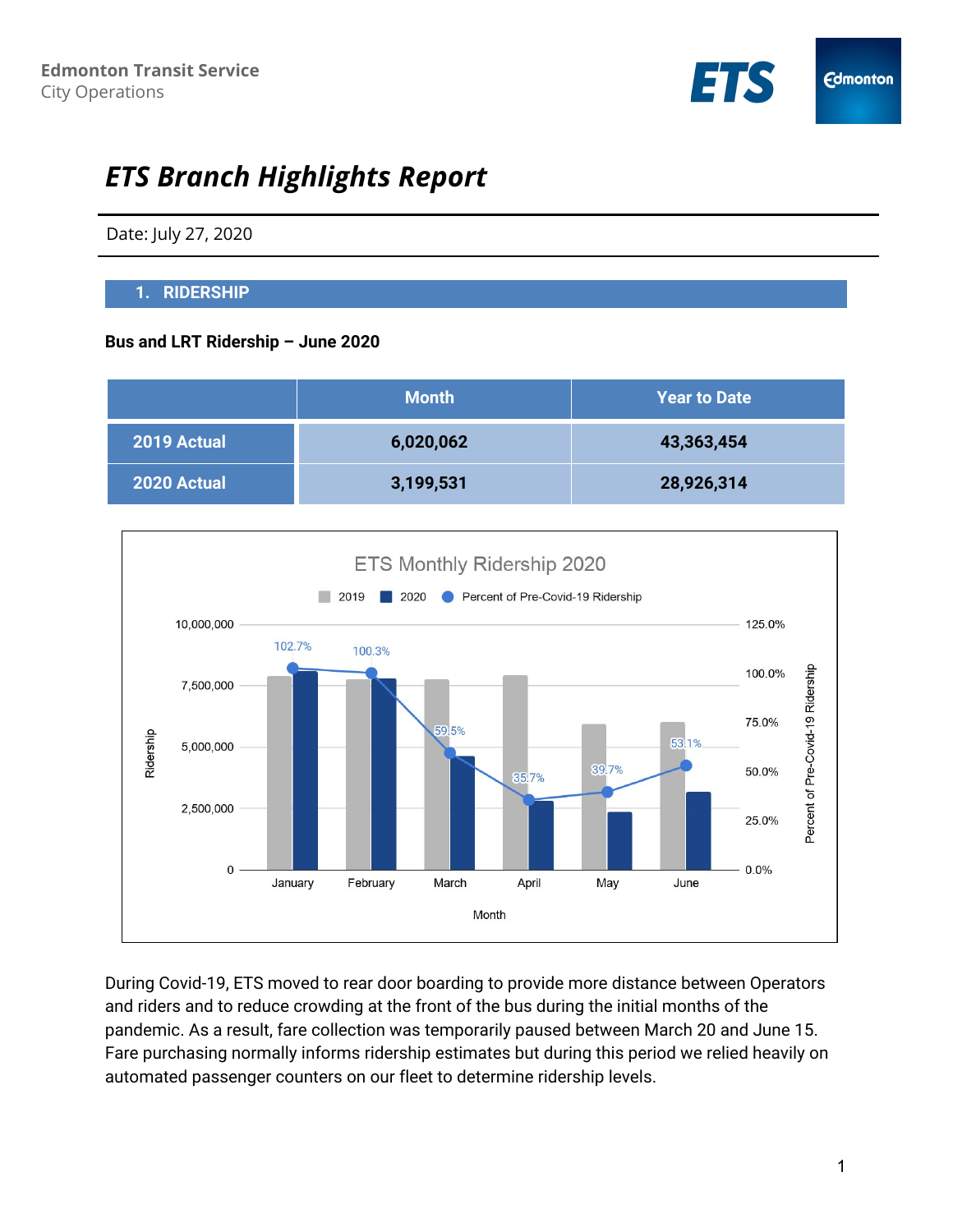

# *ETS Branch Highlights Report*

Date: July 27, 2020

## **1. RIDERSHIP**

## **Bus and LRT Ridership – June 2020**

|             | <b>Month</b> | <b>Year to Date</b> |
|-------------|--------------|---------------------|
| 2019 Actual | 6,020,062    | 43,363,454          |
| 2020 Actual | 3,199,531    | 28,926,314          |



During Covid-19, ETS moved to rear door boarding to provide more distance between Operators and riders and to reduce crowding at the front of the bus during the initial months of the pandemic. As a result, fare collection was temporarily paused between March 20 and June 15. Fare purchasing normally informs ridership estimates but during this period we relied heavily on automated passenger counters on our fleet to determine ridership levels.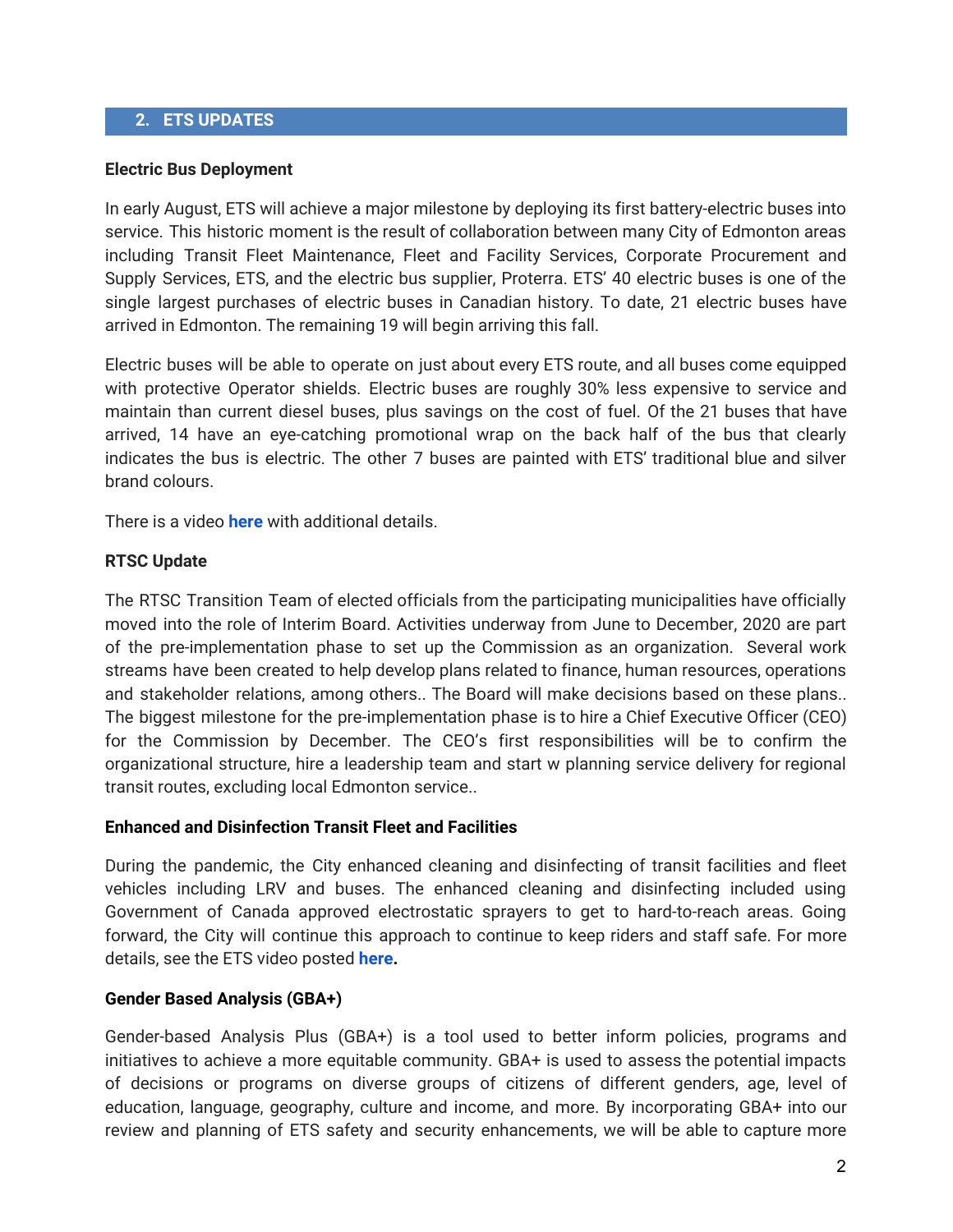### **2. ETS UPDATES**

#### **Electric Bus Deployment**

In early August, ETS will achieve a major milestone by deploying its first battery-electric buses into service. This historic moment is the result of collaboration between many City of Edmonton areas including Transit Fleet Maintenance, Fleet and Facility Services, Corporate Procurement and Supply Services, ETS, and the electric bus supplier, Proterra. ETS' 40 electric buses is one of the single largest purchases of electric buses in Canadian history. To date, 21 electric buses have arrived in Edmonton. The remaining 19 will begin arriving this fall.

Electric buses will be able to operate on just about every ETS route, and all buses come equipped with protective Operator shields. Electric buses are roughly 30% less expensive to service and maintain than current diesel buses, plus savings on the cost of fuel. Of the 21 buses that have arrived, 14 have an eye-catching promotional wrap on the back half of the bus that clearly indicates the bus is electric. The other 7 buses are painted with ETS' traditional blue and silver brand colours.

There is a video **[here](https://www.youtube.com/watch?v=k3-wUhJx6w8&feature=youtu.be)** with additional details.

#### **RTSC Update**

The RTSC Transition Team of elected officials from the participating municipalities have officially moved into the role of Interim Board. Activities underway from June to December, 2020 are part of the pre-implementation phase to set up the Commission as an organization. Several work streams have been created to help develop plans related to finance, human resources, operations and stakeholder relations, among others.. The Board will make decisions based on these plans.. The biggest milestone for the pre-implementation phase is to hire a Chief Executive Officer (CEO) for the Commission by December. The CEO's first responsibilities will be to confirm the organizational structure, hire a leadership team and start w planning service delivery for regional transit routes, excluding local Edmonton service..

#### **Enhanced and Disinfection Transit Fleet and Facilities**

During the pandemic, the City enhanced cleaning and disinfecting of transit facilities and fleet vehicles including LRV and buses. The enhanced cleaning and disinfecting included using Government of Canada approved electrostatic sprayers to get to hard-to-reach areas. Going forward, the City will continue this approach to continue to keep riders and staff safe. For more details, see the ETS video posted **[here.](https://www.youtube.com/watch?time_continue=3&v=ih-NOIUZryk&feature=emb_logo)**

#### **Gender Based Analysis (GBA+)**

Gender-based Analysis Plus (GBA+) is a tool used to better inform policies, programs and initiatives to achieve a more equitable community. GBA+ is used to assess the potential impacts of decisions or programs on diverse groups of citizens of different genders, age, level of education, language, geography, culture and income, and more. By incorporating GBA+ into our review and planning of ETS safety and security enhancements, we will be able to capture more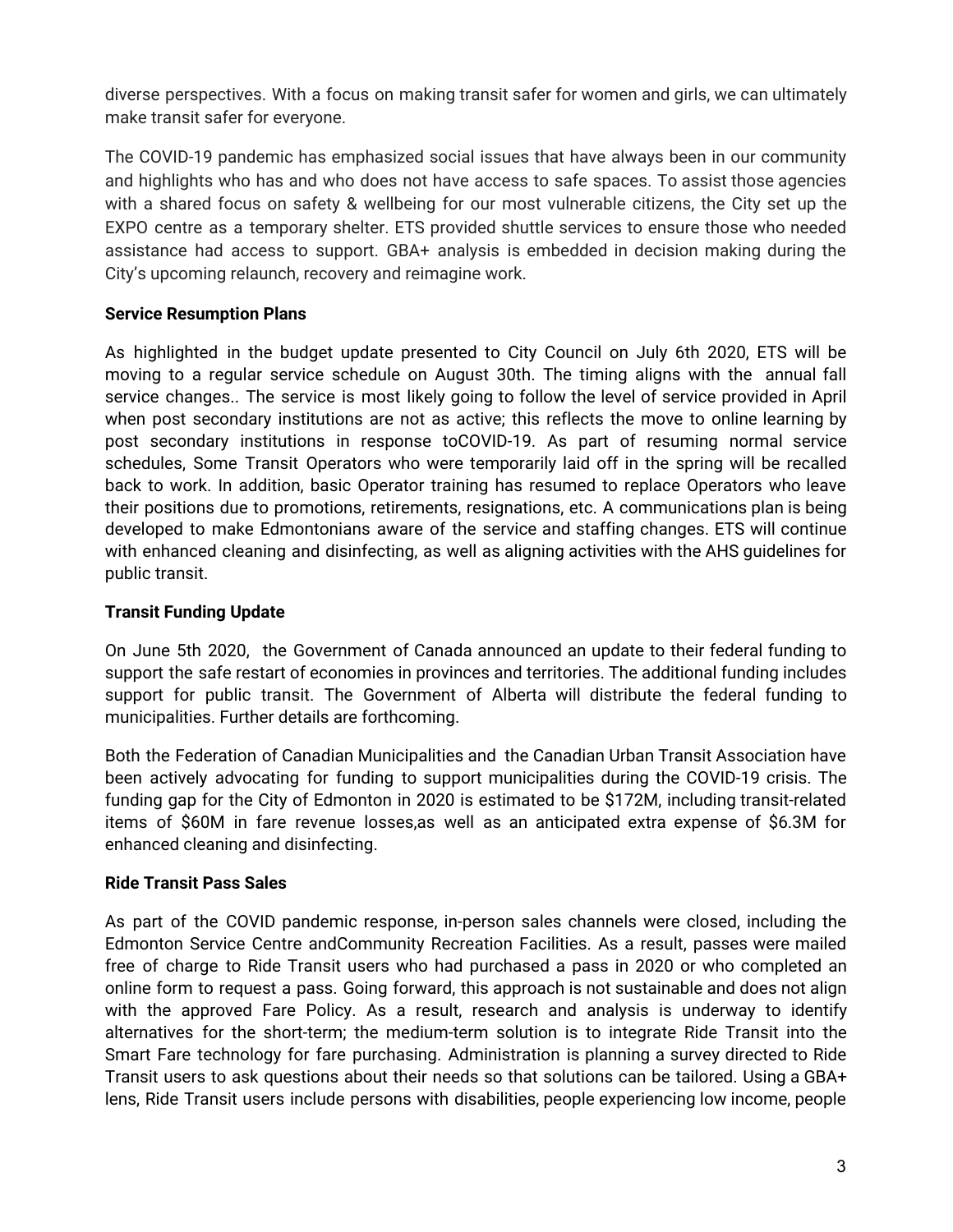diverse perspectives. With a focus on making transit safer for women and girls, we can ultimately make transit safer for everyone.

The COVID-19 pandemic has emphasized social issues that have always been in our community and highlights who has and who does not have access to safe spaces. To assist those agencies with a shared focus on safety & wellbeing for our most vulnerable citizens, the City set up the EXPO centre as a temporary shelter. ETS provided shuttle services to ensure those who needed assistance had access to support. GBA+ analysis is embedded in decision making during the City's upcoming relaunch, recovery and reimagine work.

## **Service Resumption Plans**

As highlighted in the budget update presented to City Council on July 6th 2020, ETS will be moving to a regular service schedule on August 30th. The timing aligns with the annual fall service changes.. The service is most likely going to follow the level of service provided in April when post secondary institutions are not as active; this reflects the move to online learning by post secondary institutions in response toCOVID-19. As part of resuming normal service schedules, Some Transit Operators who were temporarily laid off in the spring will be recalled back to work. In addition, basic Operator training has resumed to replace Operators who leave their positions due to promotions, retirements, resignations, etc. A communications plan is being developed to make Edmontonians aware of the service and staffing changes. ETS will continue with enhanced cleaning and disinfecting, as well as aligning activities with the AHS guidelines for public transit.

## **Transit Funding Update**

On June 5th 2020, the Government of Canada announced an update to their federal funding to support the safe restart of economies in provinces and territories. The additional funding includes support for public transit. The Government of Alberta will distribute the federal funding to municipalities. Further details are forthcoming.

Both the Federation of Canadian Municipalities and the Canadian Urban Transit Association have been actively advocating for funding to support municipalities during the COVID-19 crisis. The funding gap for the City of Edmonton in 2020 is estimated to be \$172M, including transit-related items of \$60M in fare revenue losses,as well as an anticipated extra expense of \$6.3M for enhanced cleaning and disinfecting.

## **Ride Transit Pass Sales**

As part of the COVID pandemic response, in-person sales channels were closed, including the Edmonton Service Centre andCommunity Recreation Facilities. As a result, passes were mailed free of charge to Ride Transit users who had purchased a pass in 2020 or who completed an online form to request a pass. Going forward, this approach is not sustainable and does not align with the approved Fare Policy. As a result, research and analysis is underway to identify alternatives for the short-term; the medium-term solution is to integrate Ride Transit into the Smart Fare technology for fare purchasing. Administration is planning a survey directed to Ride Transit users to ask questions about their needs so that solutions can be tailored. Using a GBA+ lens, Ride Transit users include persons with disabilities, people experiencing low income, people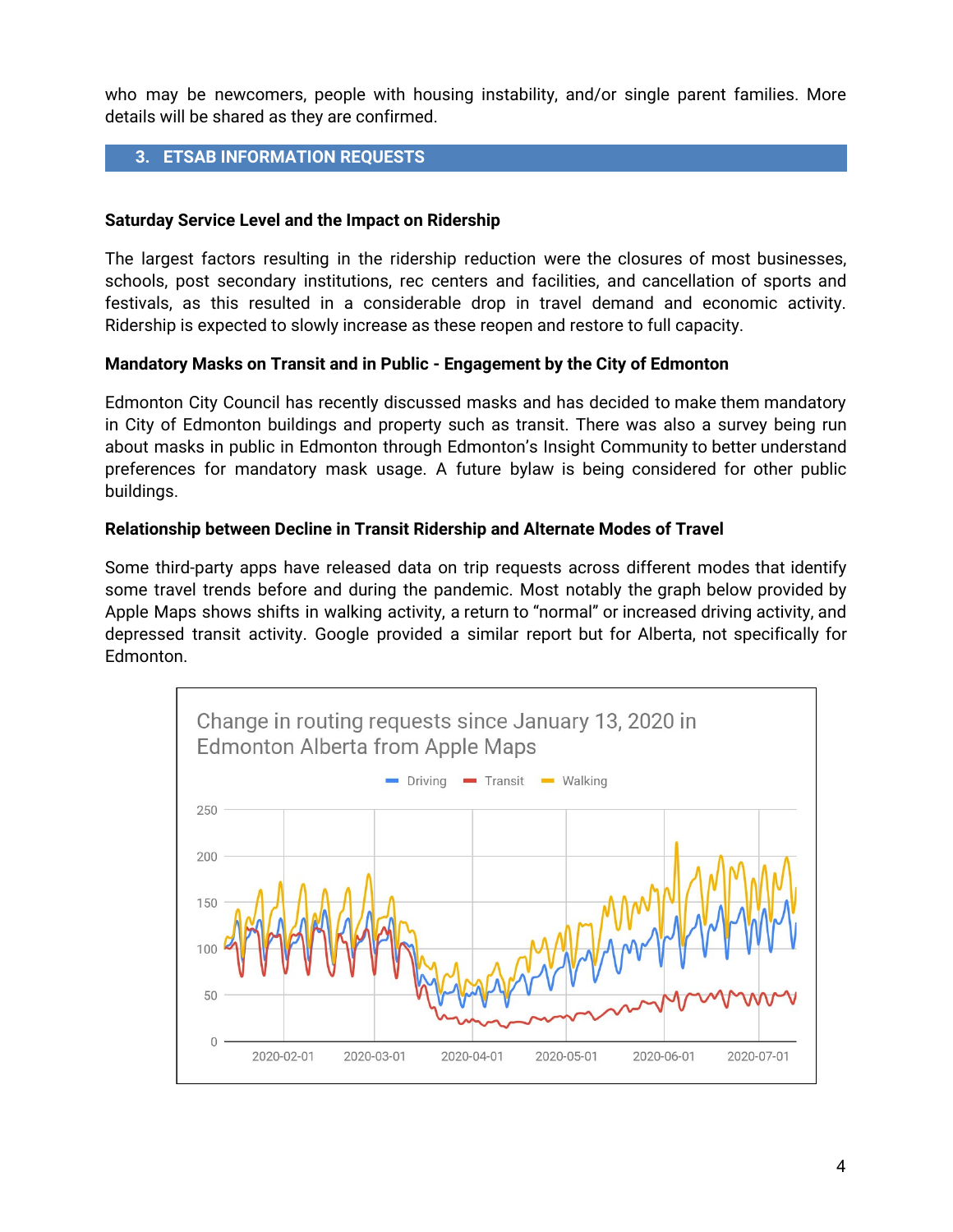who may be newcomers, people with housing instability, and/or single parent families. More details will be shared as they are confirmed.

## **3. ETSAB INFORMATION REQUESTS**

### **Saturday Service Level and the Impact on Ridership**

The largest factors resulting in the ridership reduction were the closures of most businesses, schools, post secondary institutions, rec centers and facilities, and cancellation of sports and festivals, as this resulted in a considerable drop in travel demand and economic activity. Ridership is expected to slowly increase as these reopen and restore to full capacity.

### **Mandatory Masks on Transit and in Public - Engagement by the City of Edmonton**

Edmonton City Council has recently discussed masks and has decided to make them mandatory in City of Edmonton buildings and property such as transit. There was also a survey being run about masks in public in Edmonton through Edmonton's Insight Community to better understand preferences for mandatory mask usage. A future bylaw is being considered for other public buildings.

### **Relationship between Decline in Transit Ridership and Alternate Modes of Travel**

Some third-party apps have released data on trip requests across different modes that identify some travel trends before and during the pandemic. Most notably the graph below provided by Apple Maps shows shifts in walking activity, a return to "normal" or increased driving activity, and depressed transit activity. Google provided a similar report but for Alberta, not specifically for Edmonton.

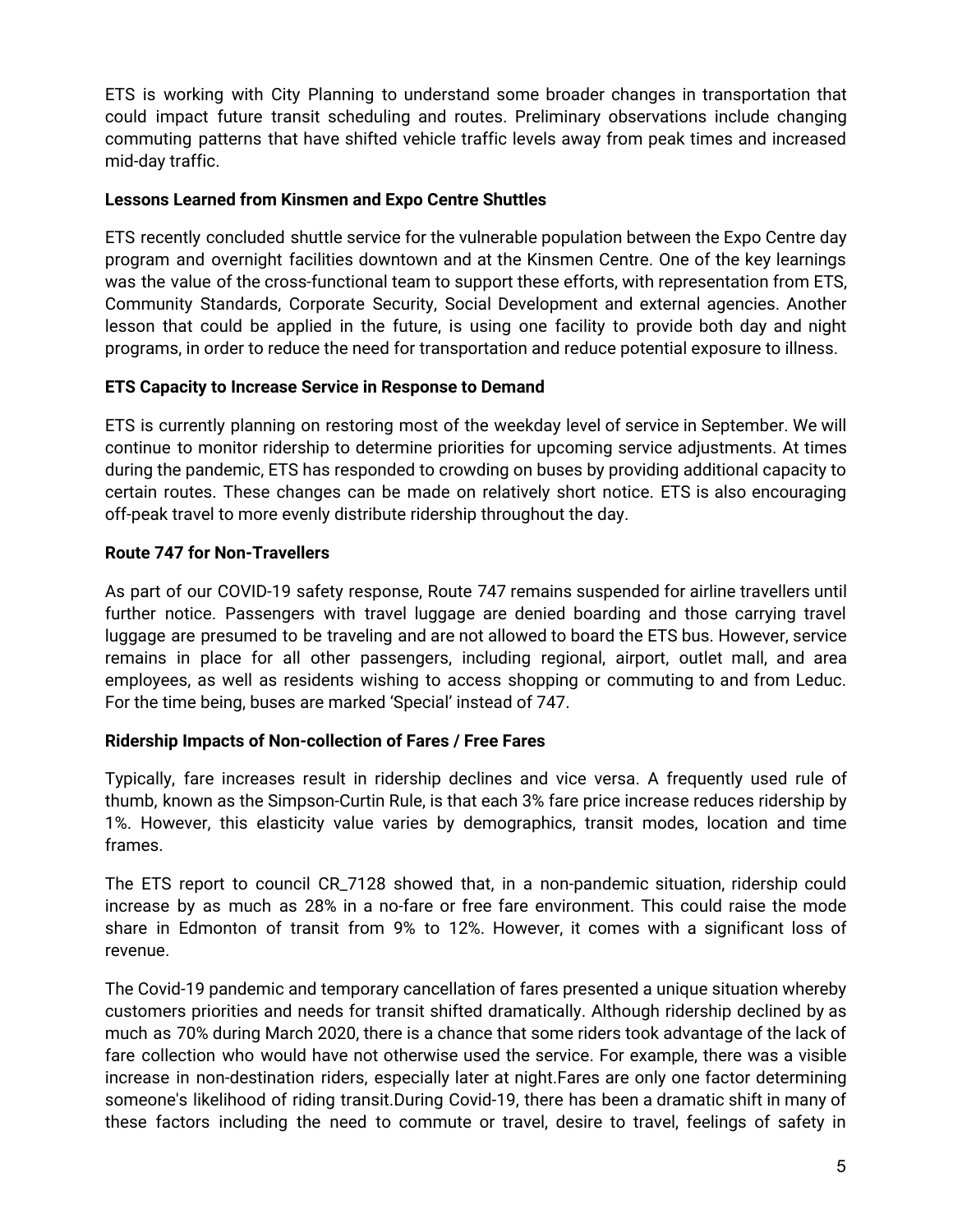ETS is working with City Planning to understand some broader changes in transportation that could impact future transit scheduling and routes. Preliminary observations include changing commuting patterns that have shifted vehicle traffic levels away from peak times and increased mid-day traffic.

### **Lessons Learned from Kinsmen and Expo Centre Shuttles**

ETS recently concluded shuttle service for the vulnerable population between the Expo Centre day program and overnight facilities downtown and at the Kinsmen Centre. One of the key learnings was the value of the cross-functional team to support these efforts, with representation from ETS, Community Standards, Corporate Security, Social Development and external agencies. Another lesson that could be applied in the future, is using one facility to provide both day and night programs, in order to reduce the need for transportation and reduce potential exposure to illness.

### **ETS Capacity to Increase Service in Response to Demand**

ETS is currently planning on restoring most of the weekday level of service in September. We will continue to monitor ridership to determine priorities for upcoming service adjustments. At times during the pandemic, ETS has responded to crowding on buses by providing additional capacity to certain routes. These changes can be made on relatively short notice. ETS is also encouraging off-peak travel to more evenly distribute ridership throughout the day.

### **Route 747 for Non-Travellers**

As part of our COVID-19 safety response, Route 747 remains suspended for airline travellers until further notice. Passengers with travel luggage are denied boarding and those carrying travel luggage are presumed to be traveling and are not allowed to board the ETS bus. However, service remains in place for all other passengers, including regional, airport, outlet mall, and area employees, as well as residents wishing to access shopping or commuting to and from Leduc. For the time being, buses are marked 'Special' instead of 747.

## **Ridership Impacts of Non-collection of Fares / Free Fares**

Typically, fare increases result in ridership declines and vice versa. A frequently used rule of thumb, known as the Simpson-Curtin Rule, is that each 3% fare price increase reduces ridership by 1%. However, this elasticity value varies by demographics, transit modes, location and time frames.

The ETS report to council CR\_7128 showed that, in a non-pandemic situation, ridership could increase by as much as 28% in a no-fare or free fare environment. This could raise the mode share in Edmonton of transit from 9% to 12%. However, it comes with a significant loss of revenue.

The Covid-19 pandemic and temporary cancellation of fares presented a unique situation whereby customers priorities and needs for transit shifted dramatically. Although ridership declined by as much as 70% during March 2020, there is a chance that some riders took advantage of the lack of fare collection who would have not otherwise used the service. For example, there was a visible increase in non-destination riders, especially later at night.Fares are only one factor determining someone's likelihood of riding transit.During Covid-19, there has been a dramatic shift in many of these factors including the need to commute or travel, desire to travel, feelings of safety in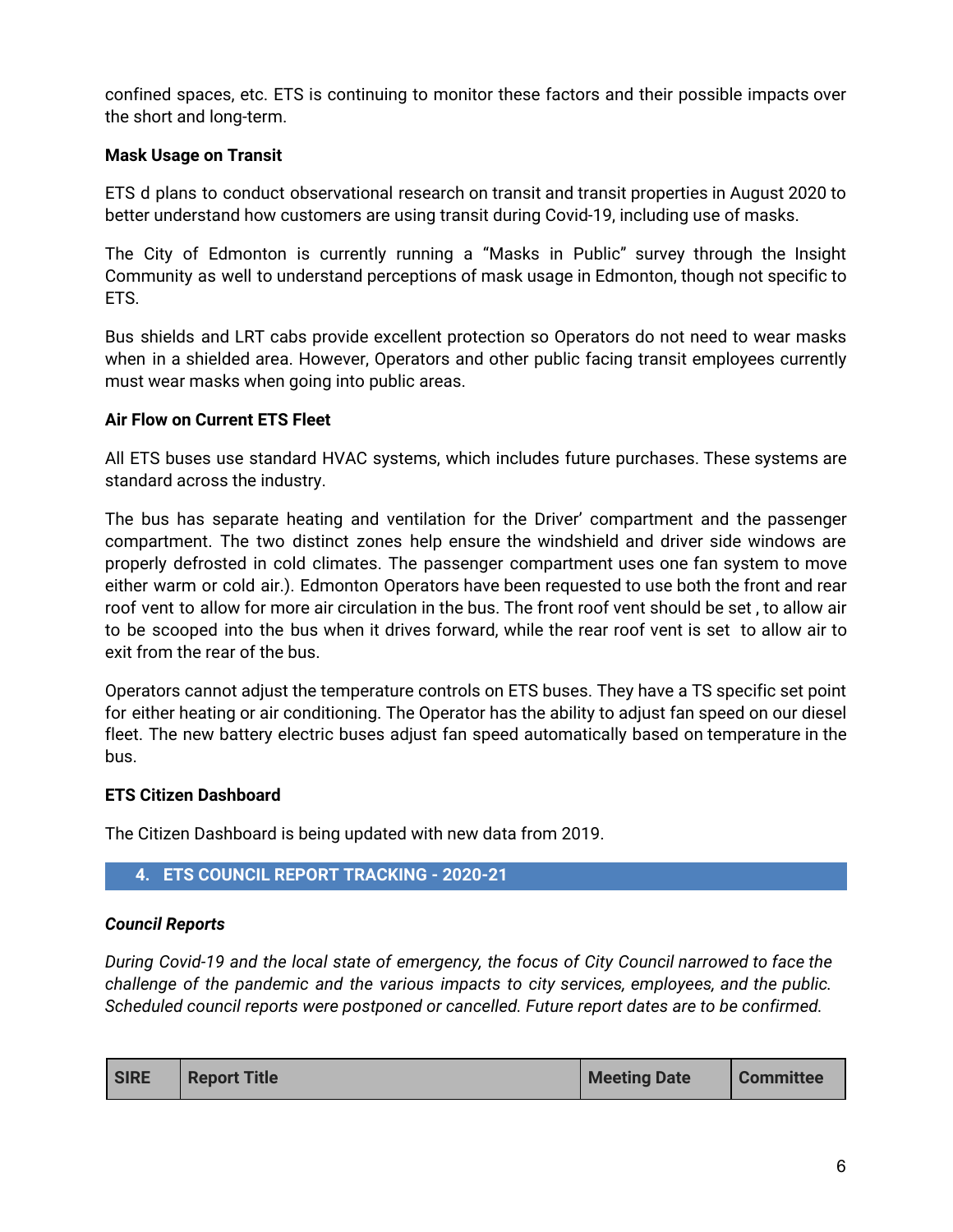confined spaces, etc. ETS is continuing to monitor these factors and their possible impacts over the short and long-term.

## **Mask Usage on Transit**

ETS d plans to conduct observational research on transit and transit properties in August 2020 to better understand how customers are using transit during Covid-19, including use of masks.

The City of Edmonton is currently running a "Masks in Public" survey through the Insight Community as well to understand perceptions of mask usage in Edmonton, though not specific to ETS.

Bus shields and LRT cabs provide excellent protection so Operators do not need to wear masks when in a shielded area. However, Operators and other public facing transit employees currently must wear masks when going into public areas.

## **Air Flow on Current ETS Fleet**

All ETS buses use standard HVAC systems, which includes future purchases. These systems are standard across the industry.

The bus has separate heating and ventilation for the Driver' compartment and the passenger compartment. The two distinct zones help ensure the windshield and driver side windows are properly defrosted in cold climates. The passenger compartment uses one fan system to move either warm or cold air.). Edmonton Operators have been requested to use both the front and rear roof vent to allow for more air circulation in the bus. The front roof vent should be set , to allow air to be scooped into the bus when it drives forward, while the rear roof vent is set to allow air to exit from the rear of the bus.

Operators cannot adjust the temperature controls on ETS buses. They have a TS specific set point for either heating or air conditioning. The Operator has the ability to adjust fan speed on our diesel fleet. The new battery electric buses adjust fan speed automatically based on temperature in the bus.

## **ETS Citizen Dashboard**

The Citizen Dashboard is being updated with new data from 2019.

## **4. ETS COUNCIL REPORT TRACKING - 2020-21**

## *Council Reports*

*During Covid-19 and the local state of emergency, the focus of City Council narrowed to face the challenge of the pandemic and the various impacts to city services, employees, and the public. Scheduled council reports were postponed or cancelled. Future report dates are to be confirmed.*

| <b>SIRE</b> | <b>Report Title</b> | <b>Meeting Date</b> | <b>Committee</b> |
|-------------|---------------------|---------------------|------------------|
|-------------|---------------------|---------------------|------------------|